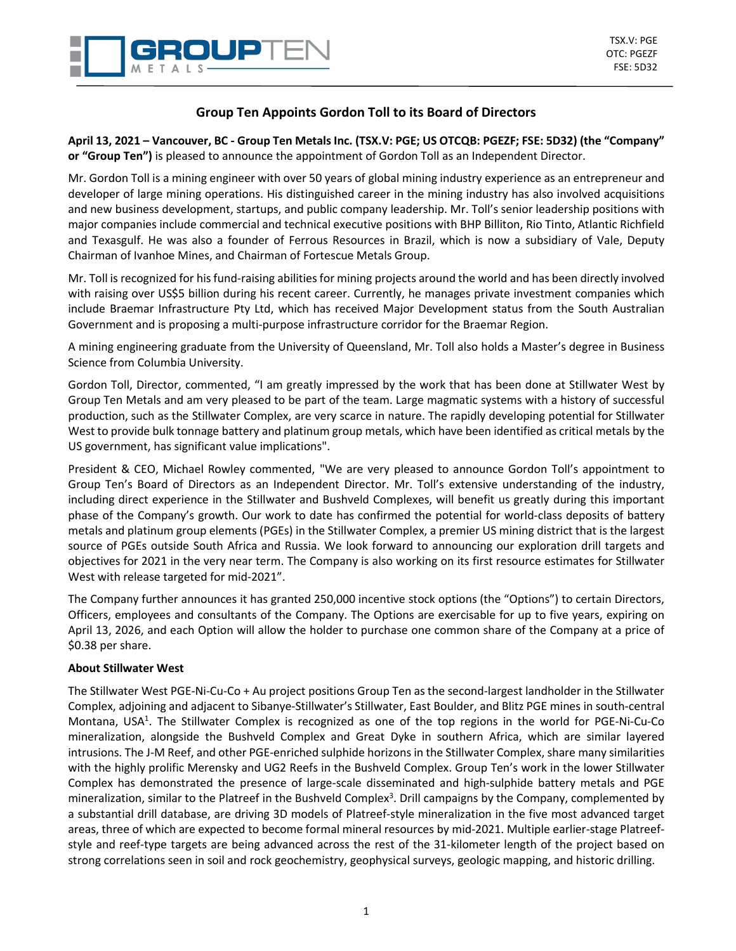

# **Group Ten Appoints Gordon Toll to its Board of Directors**

**April 13, 2021 – Vancouver, BC - Group Ten Metals Inc. (TSX.V: PGE; US OTCQB: PGEZF; FSE: 5D32) (the "Company" or "Group Ten")** is pleased to announce the appointment of Gordon Toll as an Independent Director.

Mr. Gordon Toll is a mining engineer with over 50 years of global mining industry experience as an entrepreneur and developer of large mining operations. His distinguished career in the mining industry has also involved acquisitions and new business development, startups, and public company leadership. Mr. Toll's senior leadership positions with major companies include commercial and technical executive positions with BHP Billiton, Rio Tinto, Atlantic Richfield and Texasgulf. He was also a founder of Ferrous Resources in Brazil, which is now a subsidiary of Vale, Deputy Chairman of Ivanhoe Mines, and Chairman of Fortescue Metals Group.

Mr. Toll is recognized for hisfund-raising abilitiesfor mining projects around the world and has been directly involved with raising over US\$5 billion during his recent career. Currently, he manages private investment companies which include Braemar Infrastructure Pty Ltd, which has received Major Development status from the South Australian Government and is proposing a multi‐purpose infrastructure corridor for the Braemar Region.

A mining engineering graduate from the University of Queensland, Mr. Toll also holds a Master's degree in Business Science from Columbia University.

Gordon Toll, Director, commented, "I am greatly impressed by the work that has been done at Stillwater West by Group Ten Metals and am very pleased to be part of the team. Large magmatic systems with a history of successful production, such as the Stillwater Complex, are very scarce in nature. The rapidly developing potential for Stillwater West to provide bulk tonnage battery and platinum group metals, which have been identified as critical metals by the US government, has significant value implications".

President & CEO, Michael Rowley commented, "We are very pleased to announce Gordon Toll's appointment to Group Ten's Board of Directors as an Independent Director. Mr. Toll's extensive understanding of the industry, including direct experience in the Stillwater and Bushveld Complexes, will benefit us greatly during this important phase of the Company's growth. Our work to date has confirmed the potential for world-class deposits of battery metals and platinum group elements (PGEs) in the Stillwater Complex, a premier US mining district that is the largest source of PGEs outside South Africa and Russia. We look forward to announcing our exploration drill targets and objectives for 2021 in the very near term. The Company is also working on its first resource estimates for Stillwater West with release targeted for mid-2021".

The Company further announces it has granted 250,000 incentive stock options (the "Options") to certain Directors, Officers, employees and consultants of the Company. The Options are exercisable for up to five years, expiring on April 13, 2026, and each Option will allow the holder to purchase one common share of the Company at a price of \$0.38 per share.

## **About Stillwater West**

The Stillwater West PGE-Ni-Cu-Co + Au project positions Group Ten as the second-largest landholder in the Stillwater Complex, adjoining and adjacent to Sibanye-Stillwater's Stillwater, East Boulder, and Blitz PGE mines in south-central Montana, USA<sup>1</sup>. The Stillwater Complex is recognized as one of the top regions in the world for PGE-Ni-Cu-Co mineralization, alongside the Bushveld Complex and Great Dyke in southern Africa, which are similar layered intrusions. The J-M Reef, and other PGE-enriched sulphide horizons in the Stillwater Complex, share many similarities with the highly prolific Merensky and UG2 Reefs in the Bushveld Complex. Group Ten's work in the lower Stillwater Complex has demonstrated the presence of large-scale disseminated and high-sulphide battery metals and PGE mineralization, similar to the Platreef in the Bushveld Complex<sup>3</sup>. Drill campaigns by the Company, complemented by a substantial drill database, are driving 3D models of Platreef-style mineralization in the five most advanced target areas, three of which are expected to become formal mineral resources by mid-2021. Multiple earlier-stage Platreefstyle and reef-type targets are being advanced across the rest of the 31-kilometer length of the project based on strong correlations seen in soil and rock geochemistry, geophysical surveys, geologic mapping, and historic drilling.